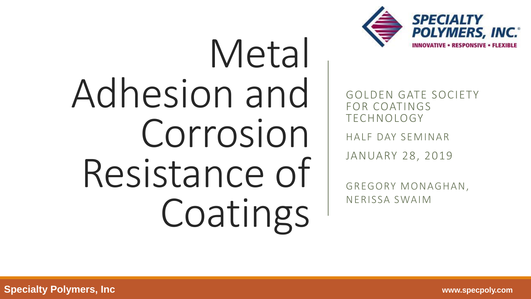

# Metal Adhesion and Corrosion Resistance of Coatings

GOLDEN GATE SOCIETY FOR COATINGS TECHNOLOGY

HALF DAY SEMINAR

JANUARY 28, 2019

GREGORY MONAGHAN, NERISSA SWAIM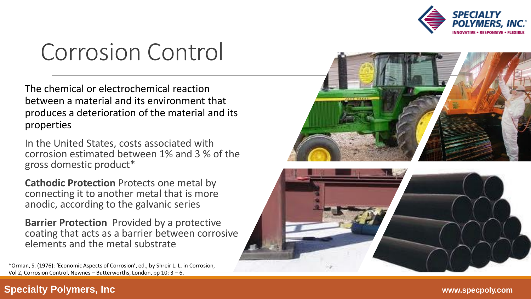

#### Corrosion Control

The chemical or electrochemical reaction between a material and its environment that produces a deterioration of the material and its properties

In the United States, costs associated with corrosion estimated between 1% and 3 % of the gross domestic product\*

**Cathodic Protection** Protects one metal by connecting it to another metal that is more anodic, according to the galvanic series

**Barrier Protection** Provided by a protective coating that acts as a barrier between corrosive elements and the metal substrate

Vol 2, Corrosion Control, Newnes - Butterworths, London, pp 10: 3 - 6.



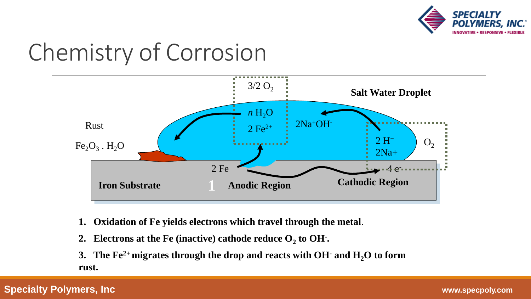

### Chemistry of Corrosion



- **1. Oxidation of Fe yields electrons which travel through the metal**.
- 2. Electrons at the Fe (inactive) cathode reduce  $O_2$  to OH $\cdot$ **.**
- **3. The Fe2+ migrates through the drop and reacts with OH- and H2O to form rust.**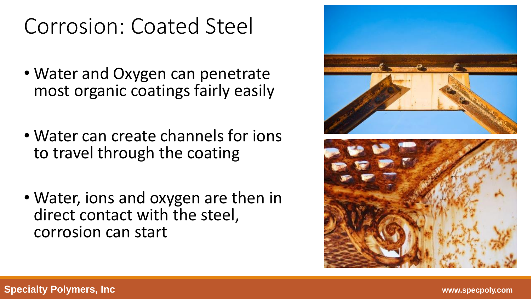#### Corrosion: Coated Steel

- Water and Oxygen can penetrate most organic coatings fairly easily
- Water can create channels for ions to travel through the coating
- Water, ions and oxygen are then in direct contact with the steel, corrosion can start

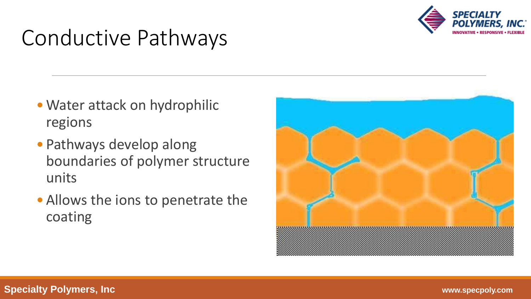

#### Conductive Pathways

- Water attack on hydrophilic regions
- Pathways develop along boundaries of polymer structure units
- Allows the ions to penetrate the coating

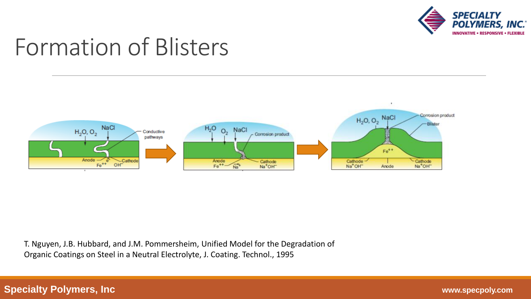

#### Formation of Blisters



T. Nguyen, J.B. Hubbard, and J.M. Pommersheim, Unified Model for the Degradation of Organic Coatings on Steel in a Neutral Electrolyte, J. Coating. Technol., 1995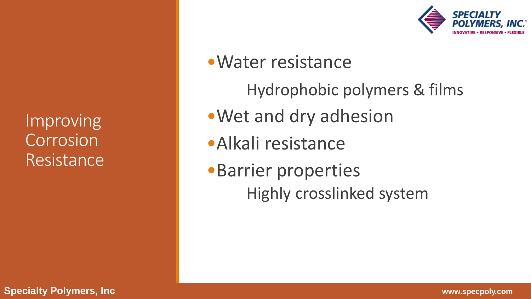Improving Corrosion Resistance



#### •Water resistance

Hydrophobic polymers & films

- •Wet and dry adhesion
- •Alkali resistance
- •Barrier properties Highly crosslinked system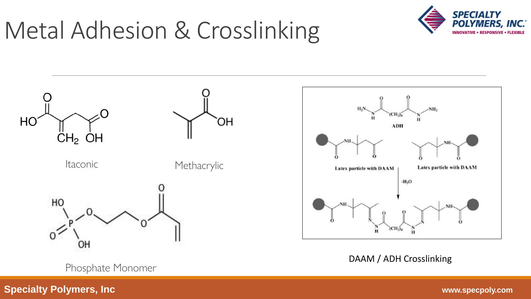### Metal Adhesion & Crosslinking





Phosphate Monomer

DAAM / ADH Crosslinking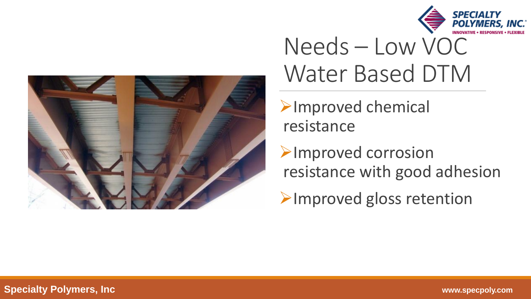



#### Needs – Low VOC Water Based DTM

➢Improved chemical resistance

➢Improved corrosion resistance with good adhesion

➢Improved gloss retention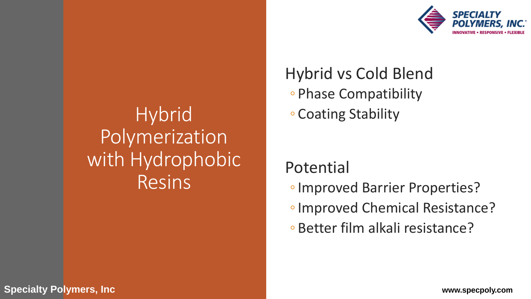#### **Hybrid** Polymerization with Hydrophobic Resins



Hybrid vs Cold Blend ◦ Phase Compatibility ◦ Coating Stability

Potential

- ◦Improved Barrier Properties?
- ◦Improved Chemical Resistance?
- Better film alkali resistance?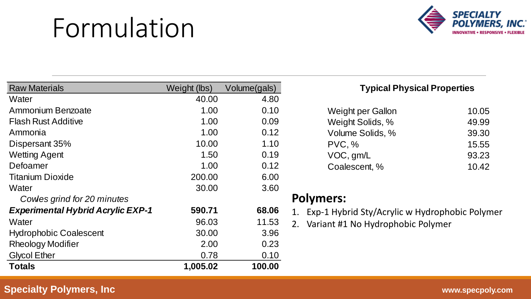## Formulation



| <b>Raw Materials</b>                     | Weight (lbs) | Volume(gals) |
|------------------------------------------|--------------|--------------|
| Water                                    | 40.00        | 4.80         |
| Ammonium Benzoate                        | 1.00         | 0.10         |
| <b>Flash Rust Additive</b>               | 1.00         | 0.09         |
| Ammonia                                  | 1.00         | 0.12         |
| Dispersant 35%                           | 10.00        | 1.10         |
| <b>Wetting Agent</b>                     | 1.50         | 0.19         |
| Defoamer                                 | 1.00         | 0.12         |
| <b>Titanium Dioxide</b>                  | 200.00       | 6.00         |
| Water                                    | 30.00        | 3.60         |
| Cowles grind for 20 minutes              |              |              |
| <b>Experimental Hybrid Acrylic EXP-1</b> | 590.71       | 68.06        |
| Water                                    | 96.03        | 11.53        |
| <b>Hydrophobic Coalescent</b>            | 30.00        | 3.96         |
| <b>Rheology Modifier</b>                 | 2.00         | 0.23         |
| <b>Glycol Ether</b>                      | 0.78         | 0.10         |
| <b>Totals</b>                            | 1,005.02     | 100.00       |

#### **Typical Physical Properties**

| Weight per Gallon | 10.05 |
|-------------------|-------|
| Weight Solids, %  | 49.99 |
| Volume Solids, %  | 39.30 |
| PVC, %            | 15.55 |
| VOC, gm/L         | 93.23 |
| Coalescent, %     | 10.42 |

#### **Polymers:**

- 1. Exp-1 Hybrid Sty/Acrylic w Hydrophobic Polymer
- 2. Variant #1 No Hydrophobic Polymer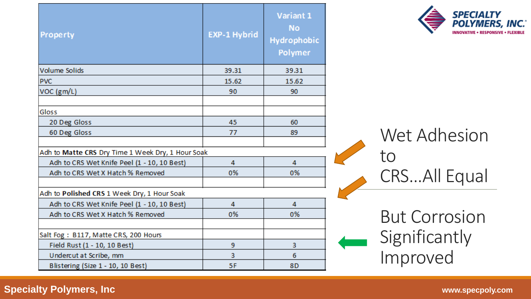| Property                                                                                         | <b>EXP-1 Hybrid</b> | Variant 1<br>No<br><b>Hydrophobic</b><br>Polymer |
|--------------------------------------------------------------------------------------------------|---------------------|--------------------------------------------------|
| <b>Volume Solids</b>                                                                             | 39.31               | 39.31                                            |
| <b>PVC</b>                                                                                       | 15.62               | 15.62                                            |
| VOC (gm/L)                                                                                       | 90                  | 90                                               |
| Gloss                                                                                            |                     |                                                  |
| 20 Deg Gloss                                                                                     | 45                  | 60                                               |
| 60 Deg Gloss                                                                                     | 77                  | 89                                               |
| Adh to Matte CRS Dry Time 1 Week Dry, 1 Hour Soak<br>Adh to CRS Wet Knife Peel (1 - 10, 10 Best) | 4                   | 4                                                |
| Adh to CRS Wet X Hatch % Removed                                                                 | 0%                  | 0%                                               |
| Adh to Polished CRS 1 Week Dry, 1 Hour Soak                                                      |                     |                                                  |
| Adh to CRS Wet Knife Peel (1 - 10, 10 Best)                                                      | 4                   | 4                                                |
| Adh to CRS Wet X Hatch % Removed                                                                 | 0%                  | 0%                                               |
| Salt Fog: B117, Matte CRS, 200 Hours<br>Field Rust (1 - 10, 10 Best)                             | 9                   | 3                                                |
| Undercut at Scribe, mm                                                                           | 3                   | 6                                                |
| Blistering (Size 1 - 10, 10 Best)                                                                | 5F                  | 8 <sub>D</sub>                                   |



Wet Adhesion to CRS…All Equal

But Corrosion Significantly Improved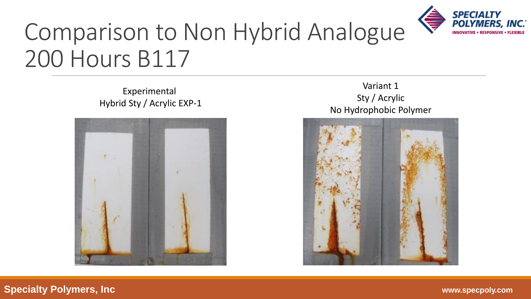

### Comparison to Non Hybrid Analogue 200 Hours B117

Experimental Hybrid Sty / Acrylic EXP-1



#### Variant 1 Sty / Acrylic No Hydrophobic Polymer

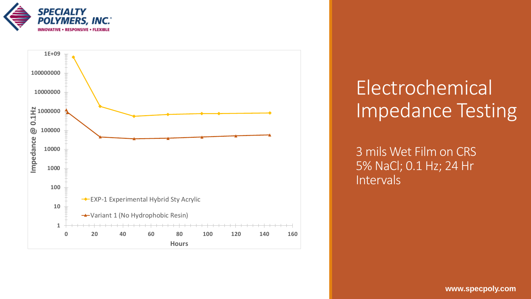



#### Electrochemical Impedance Testing

3 mils Wet Film on CRS 5% NaCl; 0.1 Hz; 24 Hr **Intervals**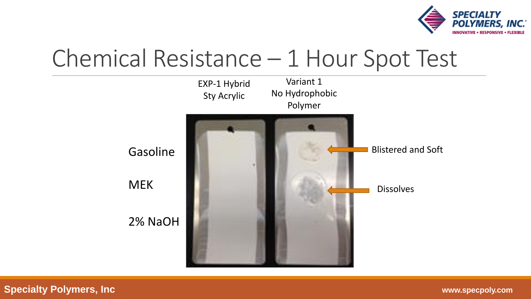

#### Chemical Resistance – 1 Hour Spot Test

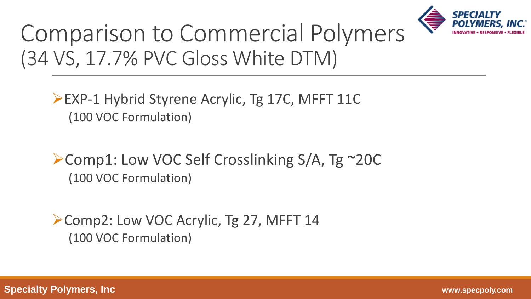

#### Comparison to Commercial Polymers (34 VS, 17.7% PVC Gloss White DTM)

➢EXP-1 Hybrid Styrene Acrylic, Tg 17C, MFFT 11C (100 VOC Formulation)

➢Comp1: Low VOC Self Crosslinking S/A, Tg ~20C (100 VOC Formulation)

➢Comp2: Low VOC Acrylic, Tg 27, MFFT 14 (100 VOC Formulation)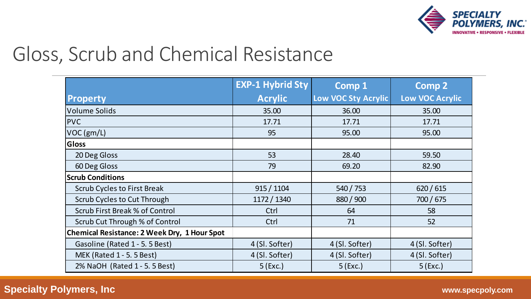

#### Gloss, Scrub and Chemical Resistance

|                                              | <b>EXP-1 Hybrid Sty</b> | <b>Comp 1</b>              | <b>Comp 2</b>          |
|----------------------------------------------|-------------------------|----------------------------|------------------------|
| <b>Property</b>                              | <b>Acrylic</b>          | <b>Low VOC Sty Acrylic</b> | <b>Low VOC Acrylic</b> |
| <b>Volume Solids</b>                         | 35.00                   | 36.00                      | 35.00                  |
| <b>PVC</b>                                   | 17.71                   | 17.71                      | 17.71                  |
| VOC(gm/L)                                    | 95                      | 95.00                      | 95.00                  |
| <b>Gloss</b>                                 |                         |                            |                        |
| 20 Deg Gloss                                 | 53                      | 28.40                      | 59.50                  |
| 60 Deg Gloss                                 | 79                      | 69.20                      | 82.90                  |
| <b>Scrub Conditions</b>                      |                         |                            |                        |
| <b>Scrub Cycles to First Break</b>           | 915 / 1104              | 540 / 753                  | 620/615                |
| <b>Scrub Cycles to Cut Through</b>           | 1172 / 1340             | 880 / 900                  | 700 / 675              |
| <b>Scrub First Break % of Control</b>        | Ctrl                    | 64                         | 58                     |
| Scrub Cut Through % of Control               | Ctrl                    | 71                         | 52                     |
| Chemical Resistance: 2 Week Dry, 1 Hour Spot |                         |                            |                        |
| Gasoline (Rated 1 - 5. 5 Best)               | 4 (SI. Softer)          | 4 (SI. Softer)             | 4 (Sl. Softer)         |
| MEK (Rated 1 - 5. 5 Best)                    | 4 (SI. Softer)          | 4 (SI. Softer)             | 4 (SI. Softer)         |
| 2% NaOH (Rated 1 - 5. 5 Best)                | $5$ (Exc.)              | $5$ (Exc.)                 | $5$ (Exc.)             |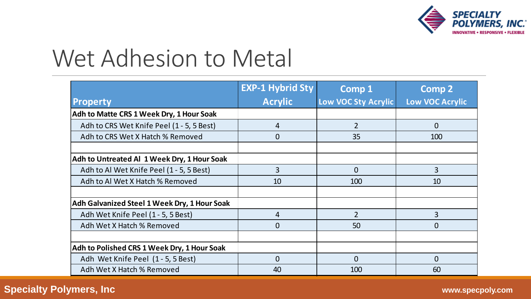

#### Wet Adhesion to Metal

|                                              | <b>EXP-1 Hybrid Sty</b> | <b>Comp 1</b>       | <b>Comp 2</b>          |
|----------------------------------------------|-------------------------|---------------------|------------------------|
| <b>Property</b>                              | <b>Acrylic</b>          | Low VOC Sty Acrylic | <b>Low VOC Acrylic</b> |
| Adh to Matte CRS 1 Week Dry, 1 Hour Soak     |                         |                     |                        |
| Adh to CRS Wet Knife Peel (1 - 5, 5 Best)    | 4                       | $\overline{2}$      | $\overline{0}$         |
| Adh to CRS Wet X Hatch % Removed             | $\Omega$                | 35                  | 100                    |
|                                              |                         |                     |                        |
| Adh to Untreated Al 1 Week Dry, 1 Hour Soak  |                         |                     |                        |
| Adh to Al Wet Knife Peel (1 - 5, 5 Best)     | 3                       | $\overline{0}$      | 3                      |
| Adh to Al Wet X Hatch % Removed              | 10                      | 100                 | 10                     |
|                                              |                         |                     |                        |
| Adh Galvanized Steel 1 Week Dry, 1 Hour Soak |                         |                     |                        |
| Adh Wet Knife Peel (1 - 5, 5 Best)           | 4                       | $\overline{2}$      | $\overline{3}$         |
| Adh Wet X Hatch % Removed                    | $\Omega$                | 50                  | $\Omega$               |
|                                              |                         |                     |                        |
| Adh to Polished CRS 1 Week Dry, 1 Hour Soak  |                         |                     |                        |
| Adh Wet Knife Peel (1 - 5, 5 Best)           | $\Omega$                | $\Omega$            | $\Omega$               |
| Adh Wet X Hatch % Removed                    | 40                      | 100                 | 60                     |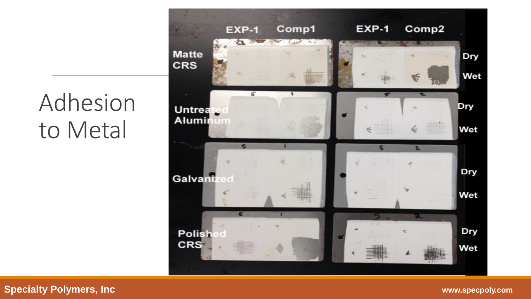### Adhesion to Metal

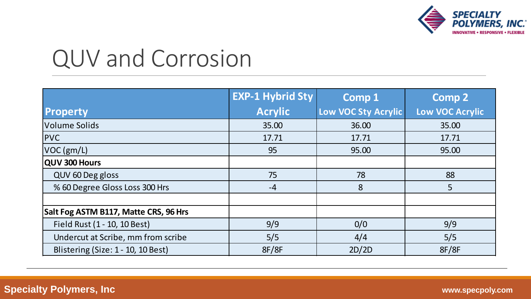

#### QUV and Corrosion

|                                       | <b>EXP-1 Hybrid Sty</b> | <b>Comp 1</b>       | <b>Comp 2</b>          |
|---------------------------------------|-------------------------|---------------------|------------------------|
| Property                              | <b>Acrylic</b>          | Low VOC Sty Acrylic | <b>Low VOC Acrylic</b> |
| <b>Volume Solids</b>                  | 35.00                   | 36.00               | 35.00                  |
| <b>PVC</b>                            | 17.71                   | 17.71               | 17.71                  |
| VOC(gm/L)                             | 95                      | 95.00               | 95.00                  |
| QUV 300 Hours                         |                         |                     |                        |
| QUV 60 Deg gloss                      | 75                      | 78                  | 88                     |
| % 60 Degree Gloss Loss 300 Hrs        | $-4$                    | 8                   | 5                      |
|                                       |                         |                     |                        |
| Salt Fog ASTM B117, Matte CRS, 96 Hrs |                         |                     |                        |
| Field Rust (1 - 10, 10 Best)          | 9/9                     | 0/0                 | 9/9                    |
| Undercut at Scribe, mm from scribe    | 5/5                     | 4/4                 | 5/5                    |
| Blistering (Size: 1 - 10, 10 Best)    | 8F/8F                   | 2D/2D               | 8F/8F                  |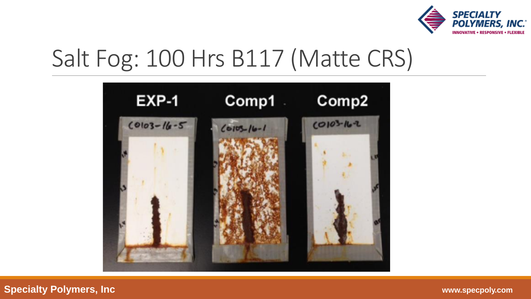

### Salt Fog: 100 Hrs B117 (Matte CRS)

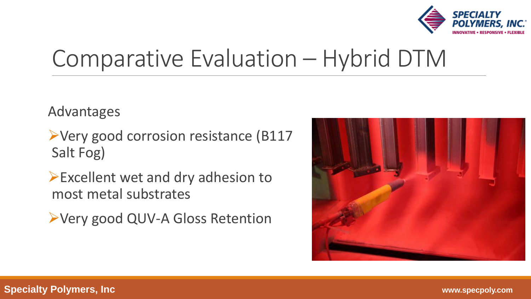

#### Comparative Evaluation – Hybrid DTM

Advantages

- ➢Very good corrosion resistance (B117 Salt Fog)
- ➢Excellent wet and dry adhesion to most metal substrates
- ➢Very good QUV-A Gloss Retention

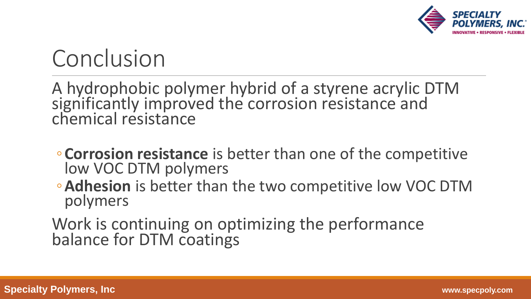

### Conclusion

A hydrophobic polymer hybrid of a styrene acrylic DTM significantly improved the corrosion resistance and chemical resistance

- ◦**Corrosion resistance** is better than one of the competitive low VOC DTM polymers
- ◦**Adhesion** is better than the two competitive low VOC DTM polymers

Work is continuing on optimizing the performance balance for DTM coatings